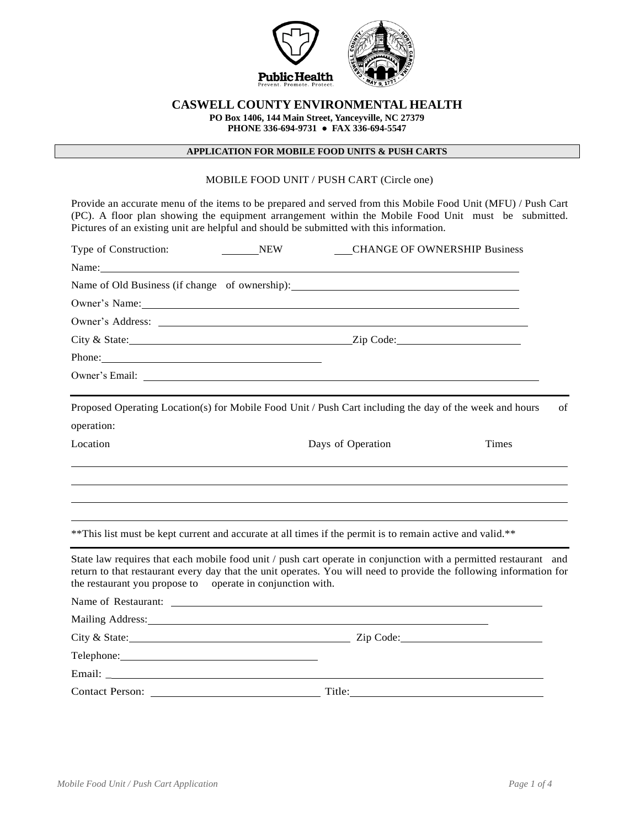

# **CASWELL COUNTY ENVIRONMENTAL HEALTH**

**PO Box 1406, 144 Main Street, Yanceyville, NC 27379**

**PHONE 336-694-9731 ● FAX 336-694-5547**

## **APPLICATION FOR MOBILE FOOD UNITS & PUSH CARTS**

## MOBILE FOOD UNIT / PUSH CART (Circle one)

Provide an accurate menu of the items to be prepared and served from this Mobile Food Unit (MFU) / Push Cart (PC). A floor plan showing the equipment arrangement within the Mobile Food Unit must be submitted. Pictures of an existing unit are helpful and should be submitted with this information.

| Type of Construction:<br><b>NEW</b>                                                                                                                                                                                                                                                                  |                   | <b>CHANGE OF OWNERSHIP Business</b> |
|------------------------------------------------------------------------------------------------------------------------------------------------------------------------------------------------------------------------------------------------------------------------------------------------------|-------------------|-------------------------------------|
|                                                                                                                                                                                                                                                                                                      |                   |                                     |
| Name of Old Business (if change of ownership): __________________________________                                                                                                                                                                                                                    |                   |                                     |
| Owner's Name: Name: Name: Name: Name: Name: Name: Name: Name: Name: Name: Name: Name: Name: Name: Name: Name: Name: Name: Name: Name: Name: Name: Name: Name: Name: Name: Name: Name: Name: Name: Name: Name: Name: Name: Name                                                                       |                   |                                     |
|                                                                                                                                                                                                                                                                                                      |                   |                                     |
|                                                                                                                                                                                                                                                                                                      |                   |                                     |
| Phone:                                                                                                                                                                                                                                                                                               |                   |                                     |
|                                                                                                                                                                                                                                                                                                      |                   |                                     |
|                                                                                                                                                                                                                                                                                                      |                   |                                     |
| Proposed Operating Location(s) for Mobile Food Unit / Push Cart including the day of the week and hours                                                                                                                                                                                              |                   | of                                  |
| operation:                                                                                                                                                                                                                                                                                           |                   |                                     |
| Location                                                                                                                                                                                                                                                                                             | Days of Operation | <b>Times</b>                        |
|                                                                                                                                                                                                                                                                                                      |                   |                                     |
| ** This list must be kept current and accurate at all times if the permit is to remain active and valid.**                                                                                                                                                                                           |                   |                                     |
| State law requires that each mobile food unit / push cart operate in conjunction with a permitted restaurant and<br>return to that restaurant every day that the unit operates. You will need to provide the following information for<br>the restaurant you propose to operate in conjunction with. |                   |                                     |
|                                                                                                                                                                                                                                                                                                      |                   |                                     |
| Mailing Address: National Address: National Address: National Address: National Address: National Address: National Address: National Address: National Address: National Address: National Address: National Address: Nationa                                                                       |                   |                                     |
|                                                                                                                                                                                                                                                                                                      |                   |                                     |
| Telephone: New York Changes and Changes and Changes and Changes and Changes and Changes and Changes and Changes and Changes and Changes and Changes and Changes and Changes and Changes and Changes and Changes and Changes an                                                                       |                   |                                     |
|                                                                                                                                                                                                                                                                                                      |                   |                                     |
| Contact Person: Title: Title:                                                                                                                                                                                                                                                                        |                   |                                     |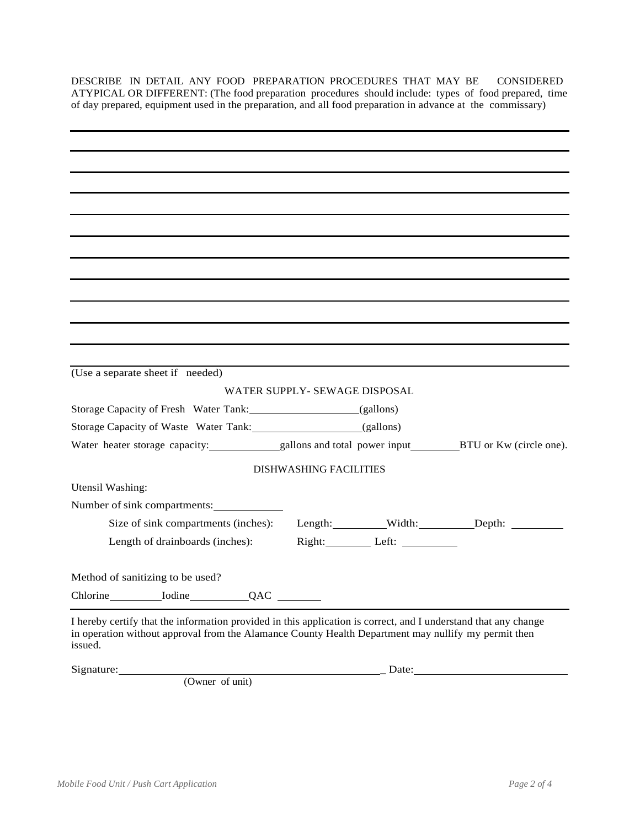DESCRIBE IN DETAIL ANY FOOD PREPARATION PROCEDURES THAT MAY BE CONSIDERED ATYPICAL OR DIFFERENT: (The food preparation procedures should include: types of food prepared, time of day prepared, equipment used in the preparation, and all food preparation in advance at the commissary)

| (Use a separate sheet if needed)                                                                                                                                                                                                  |                               |              |       |
|-----------------------------------------------------------------------------------------------------------------------------------------------------------------------------------------------------------------------------------|-------------------------------|--------------|-------|
|                                                                                                                                                                                                                                   | WATER SUPPLY- SEWAGE DISPOSAL |              |       |
| Storage Capacity of Fresh Water Tank: (gallons)                                                                                                                                                                                   |                               |              |       |
| Storage Capacity of Waste Water Tank: (gallons)                                                                                                                                                                                   |                               |              |       |
|                                                                                                                                                                                                                                   |                               |              |       |
|                                                                                                                                                                                                                                   | <b>DISHWASHING FACILITIES</b> |              |       |
| Utensil Washing:                                                                                                                                                                                                                  |                               |              |       |
| Number of sink compartments:                                                                                                                                                                                                      |                               |              |       |
| Size of sink compartments (inches):                                                                                                                                                                                               |                               |              |       |
| Length of drainboards (inches):                                                                                                                                                                                                   |                               | Right: Left: |       |
| Method of sanitizing to be used?                                                                                                                                                                                                  |                               |              |       |
| Chlorine Lodine QAC                                                                                                                                                                                                               |                               |              |       |
| I hereby certify that the information provided in this application is correct, and I understand that any change<br>in operation without approval from the Alamance County Health Department may nullify my permit then<br>issued. |                               |              |       |
| Signature:                                                                                                                                                                                                                        |                               |              | Date: |
| (Owner of unit)                                                                                                                                                                                                                   |                               |              |       |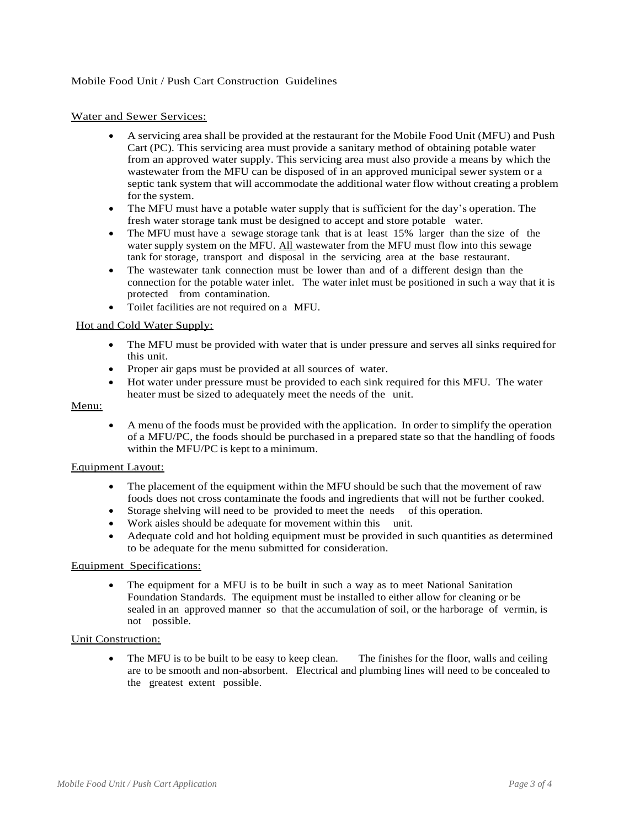## Water and Sewer Services:

- A servicing area shall be provided at the restaurant for the Mobile Food Unit (MFU) and Push Cart (PC). This servicing area must provide a sanitary method of obtaining potable water from an approved water supply. This servicing area must also provide a means by which the wastewater from the MFU can be disposed of in an approved municipal sewer system or a septic tank system that will accommodate the additional water flow without creating a problem for the system.
- The MFU must have a potable water supply that is sufficient for the day's operation. The fresh water storage tank must be designed to accept and store potable water.
- The MFU must have a sewage storage tank that is at least 15% larger than the size of the water supply system on the MFU. All wastewater from the MFU must flow into this sewage tank for storage, transport and disposal in the servicing area at the base restaurant.
- The wastewater tank connection must be lower than and of a different design than the connection for the potable water inlet. The water inlet must be positioned in such a way that it is protected from contamination.
- Toilet facilities are not required on a MFU.

## Hot and Cold Water Supply:

- The MFU must be provided with water that is under pressure and serves all sinks required for this unit.
- Proper air gaps must be provided at all sources of water.
- Hot water under pressure must be provided to each sink required for this MFU. The water heater must be sized to adequately meet the needs of the unit.

## Menu:

 A menu of the foods must be provided with the application. In order to simplify the operation of a MFU/PC, the foods should be purchased in a prepared state so that the handling of foods within the MFU/PC is kept to a minimum.

#### Equipment Layout:

- The placement of the equipment within the MFU should be such that the movement of raw foods does not cross contaminate the foods and ingredients that will not be further cooked.
- Storage shelving will need to be provided to meet the needs of this operation.
- Work aisles should be adequate for movement within this unit.
- Adequate cold and hot holding equipment must be provided in such quantities as determined to be adequate for the menu submitted for consideration.

## Equipment Specifications:

 The equipment for a MFU is to be built in such a way as to meet National Sanitation Foundation Standards. The equipment must be installed to either allow for cleaning or be sealed in an approved manner so that the accumulation of soil, or the harborage of vermin, is not possible.

#### Unit Construction:

 The MFU is to be built to be easy to keep clean. The finishes for the floor, walls and ceiling are to be smooth and non-absorbent. Electrical and plumbing lines will need to be concealed to the greatest extent possible.